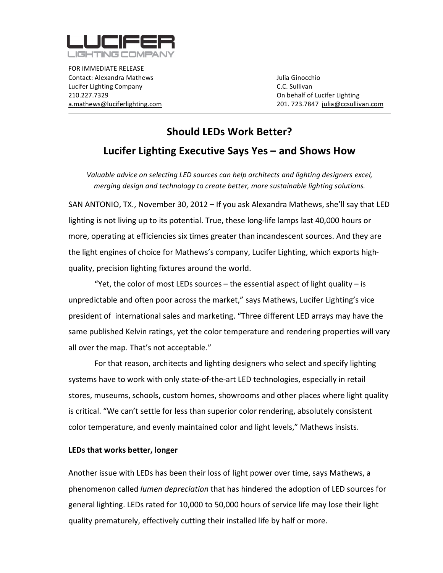

FOR
IMMEDIATE
RELEASE Contact:
Alexandra
Mathews Julia
Ginocchio Lucifer
Lighting
Company C.C.
Sullivan 210.227.7329 On
behalf
of
Lucifer
Lighting

a.mathews@luciferlighting.com 201. 723.7847 julia@ccsullivan.com

## **Should
LEDs
Work
Better? Lucifer
Lighting
Executive
Says
Yes
–
and
Shows
How**

Valuable advice on selecting LED sources can help architects and lighting designers excel, merging design and technology to create better, more sustainable lighting solutions.

SAN ANTONIO, TX., November 30, 2012 – If you ask Alexandra Mathews, she'll say that LED lighting is not living up to its potential. True, these long-life lamps last 40,000 hours or more, operating at efficiencies six times greater than incandescent sources. And they are the light engines of choice for Mathews's company, Lucifer Lighting, which exports highquality,
precision
lighting
fixtures
around
the
world.

"Yet, the color of most LEDs sources  $-$  the essential aspect of light quality  $-$  is unpredictable and often poor across the market," says Mathews, Lucifer Lighting's vice president of international sales and marketing. "Three different LED arrays may have the same published Kelvin ratings, yet the color temperature and rendering properties will vary all
over
the
map.
That's
not
acceptable."

For that reason, architects and lighting designers who select and specify lighting systems have to work with only state-of-the-art LED technologies, especially in retail stores,
museums,
schools,
custom
homes,
showrooms
and
other
places
where
light
quality is critical. "We can't settle for less than superior color rendering, absolutely consistent color
temperature,
and
evenly
maintained
color
and
light
levels,"
Mathews
insists.

## **LEDs
that
works
better,
longer**

Another
issue
with
LEDs
has
been
their
loss
of
light
power
over
time,
says
Mathews,
a phenomenon
called *lumen
depreciation*that
has
hindered
the
adoption
of
LED
sources
for general lighting. LEDs rated for 10,000 to 50,000 hours of service life may lose their light quality prematurely, effectively cutting their installed life by half or more.